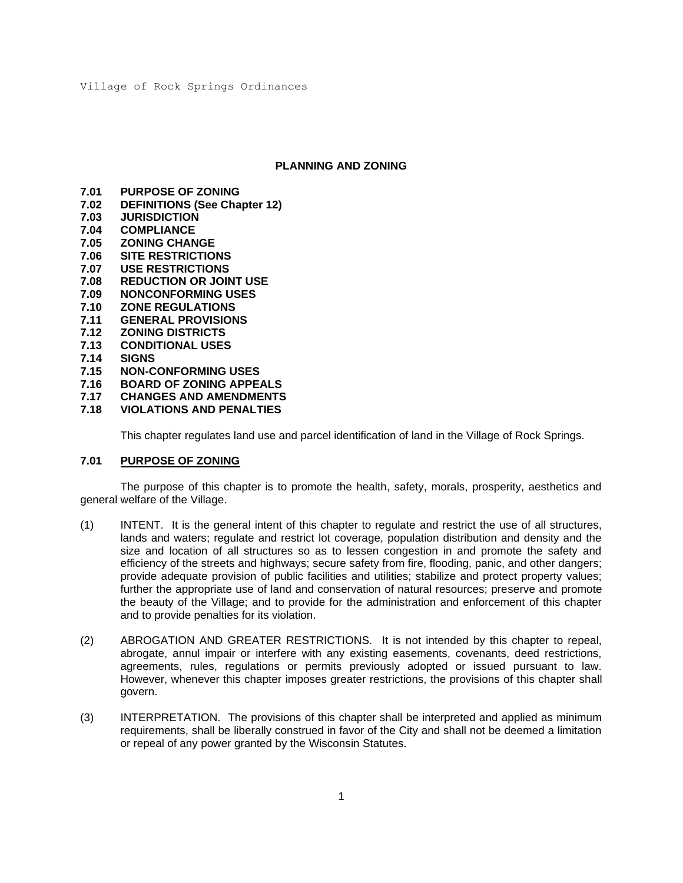#### **PLANNING AND ZONING**

- **7.01 PURPOSE OF ZONING**
- **7.02 DEFINITIONS (See Chapter 12)**
- **7.03 JURISDICTION**
- **7.04 COMPLIANCE**
- **7.05 ZONING CHANGE**
- **7.06 SITE RESTRICTIONS**
- **7.07 USE RESTRICTIONS**
- **7.08 REDUCTION OR JOINT USE**
- **7.09 NONCONFORMING USES**
- **7.10 ZONE REGULATIONS**
- **7.11 GENERAL PROVISIONS**
- **7.12 ZONING DISTRICTS**
- **7.13 CONDITIONAL USES**
- **7.14 SIGNS**
- **7.15 NON-CONFORMING USES**
- **7.16 BOARD OF ZONING APPEALS**
- **7.17 CHANGES AND AMENDMENTS**
- **7.18 VIOLATIONS AND PENALTIES**

This chapter regulates land use and parcel identification of land in the Village of Rock Springs.

#### **7.01 PURPOSE OF ZONING**

The purpose of this chapter is to promote the health, safety, morals, prosperity, aesthetics and general welfare of the Village.

- (1) INTENT. It is the general intent of this chapter to regulate and restrict the use of all structures, lands and waters; regulate and restrict lot coverage, population distribution and density and the size and location of all structures so as to lessen congestion in and promote the safety and efficiency of the streets and highways; secure safety from fire, flooding, panic, and other dangers; provide adequate provision of public facilities and utilities; stabilize and protect property values; further the appropriate use of land and conservation of natural resources; preserve and promote the beauty of the Village; and to provide for the administration and enforcement of this chapter and to provide penalties for its violation.
- (2) ABROGATION AND GREATER RESTRICTIONS. It is not intended by this chapter to repeal, abrogate, annul impair or interfere with any existing easements, covenants, deed restrictions, agreements, rules, regulations or permits previously adopted or issued pursuant to law. However, whenever this chapter imposes greater restrictions, the provisions of this chapter shall govern.
- (3) INTERPRETATION. The provisions of this chapter shall be interpreted and applied as minimum requirements, shall be liberally construed in favor of the City and shall not be deemed a limitation or repeal of any power granted by the Wisconsin Statutes.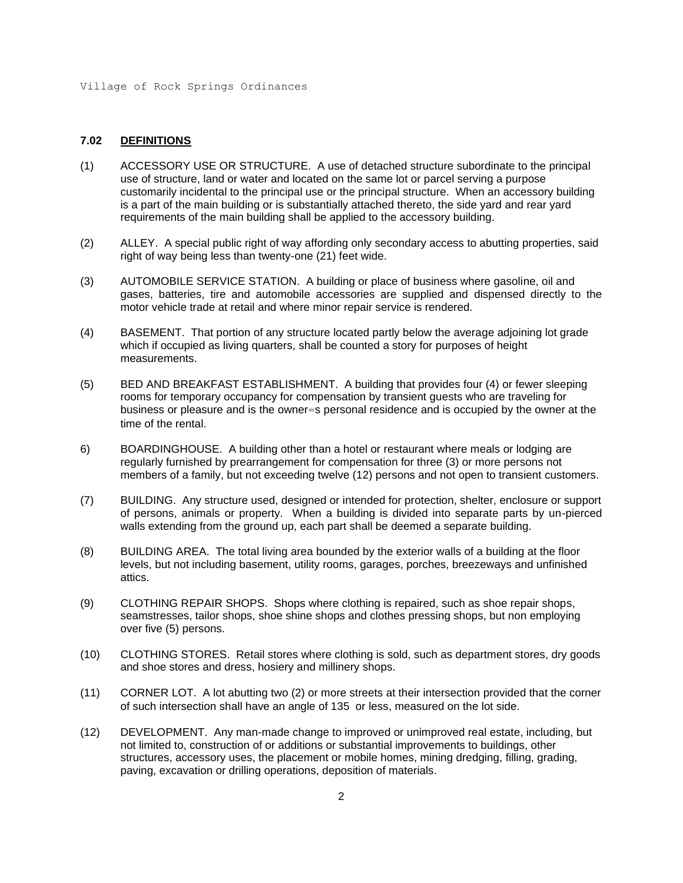### **7.02 DEFINITIONS**

- (1) ACCESSORY USE OR STRUCTURE. A use of detached structure subordinate to the principal use of structure, land or water and located on the same lot or parcel serving a purpose customarily incidental to the principal use or the principal structure. When an accessory building is a part of the main building or is substantially attached thereto, the side yard and rear yard requirements of the main building shall be applied to the accessory building.
- (2) ALLEY. A special public right of way affording only secondary access to abutting properties, said right of way being less than twenty-one (21) feet wide.
- (3) AUTOMOBILE SERVICE STATION. A building or place of business where gasoline, oil and gases, batteries, tire and automobile accessories are supplied and dispensed directly to the motor vehicle trade at retail and where minor repair service is rendered.
- (4) BASEMENT. That portion of any structure located partly below the average adjoining lot grade which if occupied as living quarters, shall be counted a story for purposes of height measurements.
- (5) BED AND BREAKFAST ESTABLISHMENT. A building that provides four (4) or fewer sleeping rooms for temporary occupancy for compensation by transient guests who are traveling for business or pleasure and is the owner=s personal residence and is occupied by the owner at the time of the rental.
- 6) BOARDINGHOUSE. A building other than a hotel or restaurant where meals or lodging are regularly furnished by prearrangement for compensation for three (3) or more persons not members of a family, but not exceeding twelve (12) persons and not open to transient customers.
- (7) BUILDING. Any structure used, designed or intended for protection, shelter, enclosure or support of persons, animals or property. When a building is divided into separate parts by un-pierced walls extending from the ground up, each part shall be deemed a separate building.
- (8) BUILDING AREA. The total living area bounded by the exterior walls of a building at the floor levels, but not including basement, utility rooms, garages, porches, breezeways and unfinished attics.
- (9) CLOTHING REPAIR SHOPS. Shops where clothing is repaired, such as shoe repair shops, seamstresses, tailor shops, shoe shine shops and clothes pressing shops, but non employing over five (5) persons.
- (10) CLOTHING STORES. Retail stores where clothing is sold, such as department stores, dry goods and shoe stores and dress, hosiery and millinery shops.
- (11) CORNER LOT. A lot abutting two (2) or more streets at their intersection provided that the corner of such intersection shall have an angle of 135 or less, measured on the lot side.
- (12) DEVELOPMENT. Any man-made change to improved or unimproved real estate, including, but not limited to, construction of or additions or substantial improvements to buildings, other structures, accessory uses, the placement or mobile homes, mining dredging, filling, grading, paving, excavation or drilling operations, deposition of materials.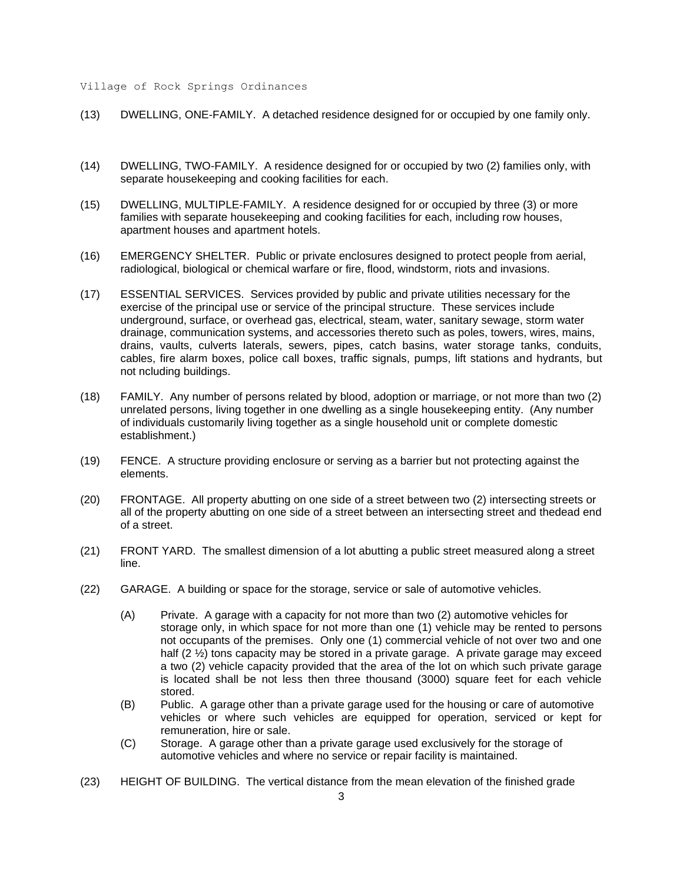- (13) DWELLING, ONE-FAMILY. A detached residence designed for or occupied by one family only.
- (14) DWELLING, TWO-FAMILY. A residence designed for or occupied by two (2) families only, with separate housekeeping and cooking facilities for each.
- (15) DWELLING, MULTIPLE-FAMILY. A residence designed for or occupied by three (3) or more families with separate housekeeping and cooking facilities for each, including row houses, apartment houses and apartment hotels.
- (16) EMERGENCY SHELTER. Public or private enclosures designed to protect people from aerial, radiological, biological or chemical warfare or fire, flood, windstorm, riots and invasions.
- (17) ESSENTIAL SERVICES. Services provided by public and private utilities necessary for the exercise of the principal use or service of the principal structure. These services include underground, surface, or overhead gas, electrical, steam, water, sanitary sewage, storm water drainage, communication systems, and accessories thereto such as poles, towers, wires, mains, drains, vaults, culverts laterals, sewers, pipes, catch basins, water storage tanks, conduits, cables, fire alarm boxes, police call boxes, traffic signals, pumps, lift stations and hydrants, but not ncluding buildings.
- (18) FAMILY. Any number of persons related by blood, adoption or marriage, or not more than two (2) unrelated persons, living together in one dwelling as a single housekeeping entity. (Any number of individuals customarily living together as a single household unit or complete domestic establishment.)
- (19) FENCE. A structure providing enclosure or serving as a barrier but not protecting against the elements.
- (20) FRONTAGE. All property abutting on one side of a street between two (2) intersecting streets or all of the property abutting on one side of a street between an intersecting street and thedead end of a street.
- (21) FRONT YARD. The smallest dimension of a lot abutting a public street measured along a street line.
- (22) GARAGE. A building or space for the storage, service or sale of automotive vehicles.
	- (A) Private. A garage with a capacity for not more than two (2) automotive vehicles for storage only, in which space for not more than one (1) vehicle may be rented to persons not occupants of the premises. Only one (1) commercial vehicle of not over two and one half (2  $\frac{1}{2}$ ) tons capacity may be stored in a private garage. A private garage may exceed a two (2) vehicle capacity provided that the area of the lot on which such private garage is located shall be not less then three thousand (3000) square feet for each vehicle stored.
	- (B) Public. A garage other than a private garage used for the housing or care of automotive vehicles or where such vehicles are equipped for operation, serviced or kept for remuneration, hire or sale.
	- (C) Storage. A garage other than a private garage used exclusively for the storage of automotive vehicles and where no service or repair facility is maintained.
- (23) HEIGHT OF BUILDING. The vertical distance from the mean elevation of the finished grade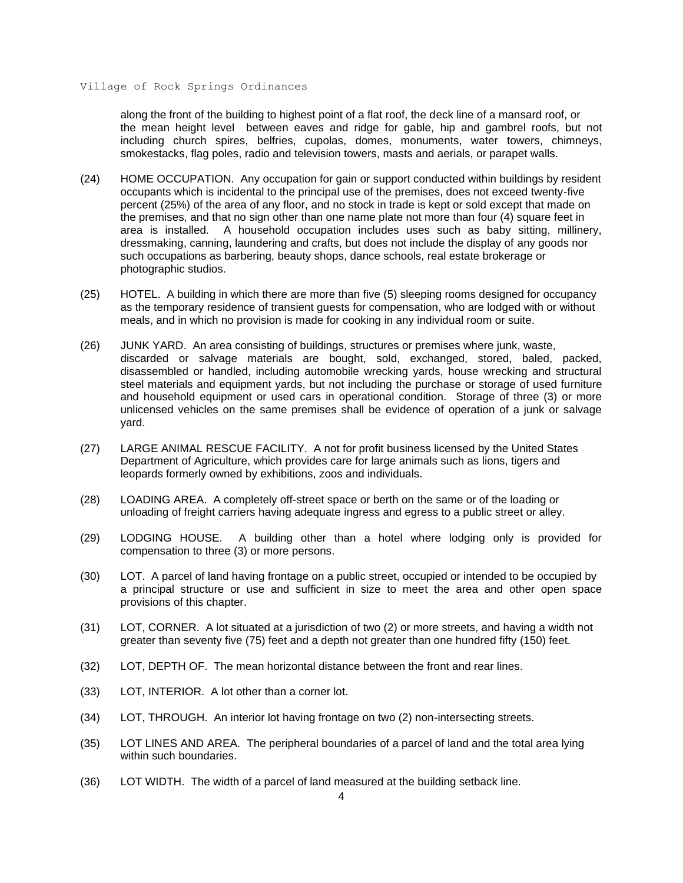along the front of the building to highest point of a flat roof, the deck line of a mansard roof, or the mean height level between eaves and ridge for gable, hip and gambrel roofs, but not including church spires, belfries, cupolas, domes, monuments, water towers, chimneys, smokestacks, flag poles, radio and television towers, masts and aerials, or parapet walls.

- (24) HOME OCCUPATION. Any occupation for gain or support conducted within buildings by resident occupants which is incidental to the principal use of the premises, does not exceed twenty-five percent (25%) of the area of any floor, and no stock in trade is kept or sold except that made on the premises, and that no sign other than one name plate not more than four (4) square feet in area is installed. A household occupation includes uses such as baby sitting, millinery, dressmaking, canning, laundering and crafts, but does not include the display of any goods nor such occupations as barbering, beauty shops, dance schools, real estate brokerage or photographic studios.
- (25) HOTEL. A building in which there are more than five (5) sleeping rooms designed for occupancy as the temporary residence of transient guests for compensation, who are lodged with or without meals, and in which no provision is made for cooking in any individual room or suite.
- (26) JUNK YARD. An area consisting of buildings, structures or premises where junk, waste, discarded or salvage materials are bought, sold, exchanged, stored, baled, packed, disassembled or handled, including automobile wrecking yards, house wrecking and structural steel materials and equipment yards, but not including the purchase or storage of used furniture and household equipment or used cars in operational condition. Storage of three (3) or more unlicensed vehicles on the same premises shall be evidence of operation of a junk or salvage yard.
- (27) LARGE ANIMAL RESCUE FACILITY. A not for profit business licensed by the United States Department of Agriculture, which provides care for large animals such as lions, tigers and leopards formerly owned by exhibitions, zoos and individuals.
- (28) LOADING AREA. A completely off-street space or berth on the same or of the loading or unloading of freight carriers having adequate ingress and egress to a public street or alley.
- (29) LODGING HOUSE. A building other than a hotel where lodging only is provided for compensation to three (3) or more persons.
- (30) LOT. A parcel of land having frontage on a public street, occupied or intended to be occupied by a principal structure or use and sufficient in size to meet the area and other open space provisions of this chapter.
- (31) LOT, CORNER. A lot situated at a jurisdiction of two (2) or more streets, and having a width not greater than seventy five (75) feet and a depth not greater than one hundred fifty (150) feet.
- (32) LOT, DEPTH OF. The mean horizontal distance between the front and rear lines.
- (33) LOT, INTERIOR. A lot other than a corner lot.
- (34) LOT, THROUGH. An interior lot having frontage on two (2) non-intersecting streets.
- (35) LOT LINES AND AREA. The peripheral boundaries of a parcel of land and the total area lying within such boundaries.
- (36) LOT WIDTH. The width of a parcel of land measured at the building setback line.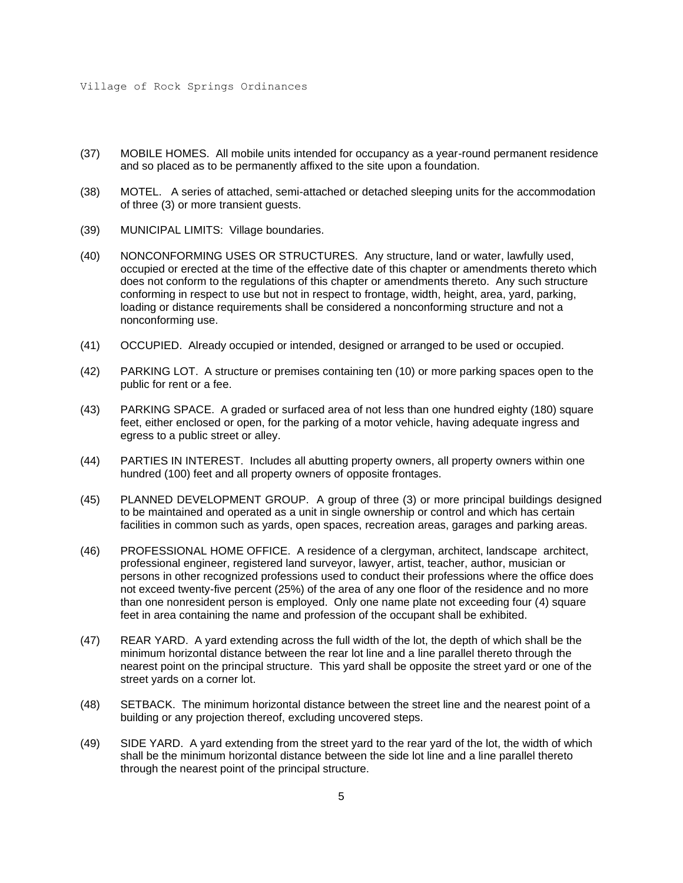- (37) MOBILE HOMES. All mobile units intended for occupancy as a year-round permanent residence and so placed as to be permanently affixed to the site upon a foundation.
- (38) MOTEL. A series of attached, semi-attached or detached sleeping units for the accommodation of three (3) or more transient guests.
- (39) MUNICIPAL LIMITS: Village boundaries.
- (40) NONCONFORMING USES OR STRUCTURES. Any structure, land or water, lawfully used, occupied or erected at the time of the effective date of this chapter or amendments thereto which does not conform to the regulations of this chapter or amendments thereto. Any such structure conforming in respect to use but not in respect to frontage, width, height, area, yard, parking, loading or distance requirements shall be considered a nonconforming structure and not a nonconforming use.
- (41) OCCUPIED. Already occupied or intended, designed or arranged to be used or occupied.
- (42) PARKING LOT. A structure or premises containing ten (10) or more parking spaces open to the public for rent or a fee.
- (43) PARKING SPACE. A graded or surfaced area of not less than one hundred eighty (180) square feet, either enclosed or open, for the parking of a motor vehicle, having adequate ingress and egress to a public street or alley.
- (44) PARTIES IN INTEREST. Includes all abutting property owners, all property owners within one hundred (100) feet and all property owners of opposite frontages.
- (45) PLANNED DEVELOPMENT GROUP. A group of three (3) or more principal buildings designed to be maintained and operated as a unit in single ownership or control and which has certain facilities in common such as yards, open spaces, recreation areas, garages and parking areas.
- (46) PROFESSIONAL HOME OFFICE. A residence of a clergyman, architect, landscape architect, professional engineer, registered land surveyor, lawyer, artist, teacher, author, musician or persons in other recognized professions used to conduct their professions where the office does not exceed twenty-five percent (25%) of the area of any one floor of the residence and no more than one nonresident person is employed. Only one name plate not exceeding four (4) square feet in area containing the name and profession of the occupant shall be exhibited.
- (47) REAR YARD. A yard extending across the full width of the lot, the depth of which shall be the minimum horizontal distance between the rear lot line and a line parallel thereto through the nearest point on the principal structure. This yard shall be opposite the street yard or one of the street yards on a corner lot.
- (48) SETBACK. The minimum horizontal distance between the street line and the nearest point of a building or any projection thereof, excluding uncovered steps.
- (49) SIDE YARD. A yard extending from the street yard to the rear yard of the lot, the width of which shall be the minimum horizontal distance between the side lot line and a line parallel thereto through the nearest point of the principal structure.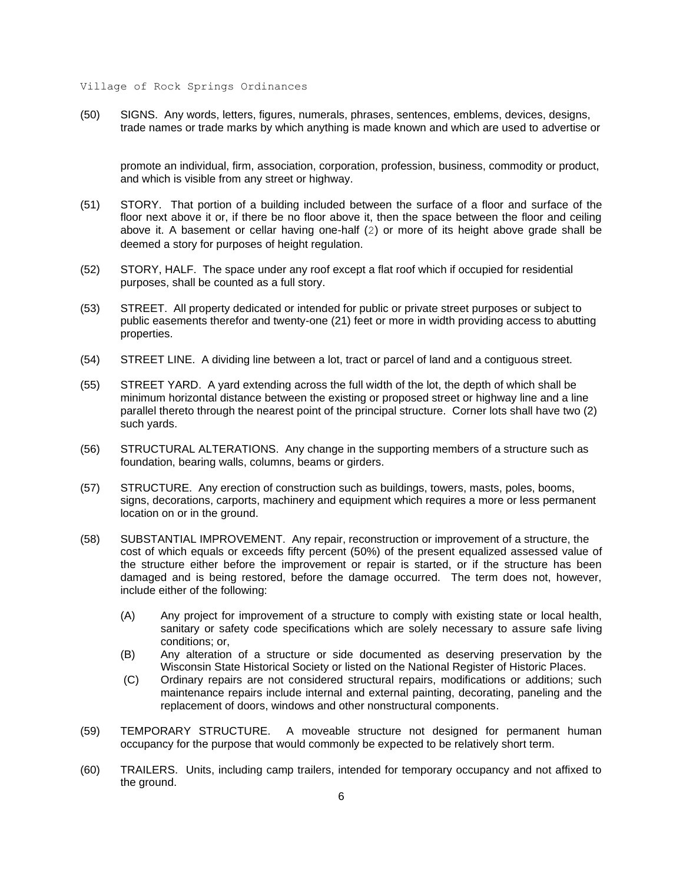(50) SIGNS. Any words, letters, figures, numerals, phrases, sentences, emblems, devices, designs, trade names or trade marks by which anything is made known and which are used to advertise or

promote an individual, firm, association, corporation, profession, business, commodity or product, and which is visible from any street or highway.

- (51) STORY. That portion of a building included between the surface of a floor and surface of the floor next above it or, if there be no floor above it, then the space between the floor and ceiling above it. A basement or cellar having one-half (2) or more of its height above grade shall be deemed a story for purposes of height regulation.
- (52) STORY, HALF. The space under any roof except a flat roof which if occupied for residential purposes, shall be counted as a full story.
- (53) STREET. All property dedicated or intended for public or private street purposes or subject to public easements therefor and twenty-one (21) feet or more in width providing access to abutting properties.
- (54) STREET LINE. A dividing line between a lot, tract or parcel of land and a contiguous street.
- (55) STREET YARD. A yard extending across the full width of the lot, the depth of which shall be minimum horizontal distance between the existing or proposed street or highway line and a line parallel thereto through the nearest point of the principal structure. Corner lots shall have two (2) such yards.
- (56) STRUCTURAL ALTERATIONS. Any change in the supporting members of a structure such as foundation, bearing walls, columns, beams or girders.
- (57) STRUCTURE. Any erection of construction such as buildings, towers, masts, poles, booms, signs, decorations, carports, machinery and equipment which requires a more or less permanent location on or in the ground.
- (58) SUBSTANTIAL IMPROVEMENT. Any repair, reconstruction or improvement of a structure, the cost of which equals or exceeds fifty percent (50%) of the present equalized assessed value of the structure either before the improvement or repair is started, or if the structure has been damaged and is being restored, before the damage occurred. The term does not, however, include either of the following:
	- (A) Any project for improvement of a structure to comply with existing state or local health, sanitary or safety code specifications which are solely necessary to assure safe living conditions; or,
	- (B) Any alteration of a structure or side documented as deserving preservation by the Wisconsin State Historical Society or listed on the National Register of Historic Places.
	- (C) Ordinary repairs are not considered structural repairs, modifications or additions; such maintenance repairs include internal and external painting, decorating, paneling and the replacement of doors, windows and other nonstructural components.
- (59) TEMPORARY STRUCTURE. A moveable structure not designed for permanent human occupancy for the purpose that would commonly be expected to be relatively short term.
- (60) TRAILERS. Units, including camp trailers, intended for temporary occupancy and not affixed to the ground.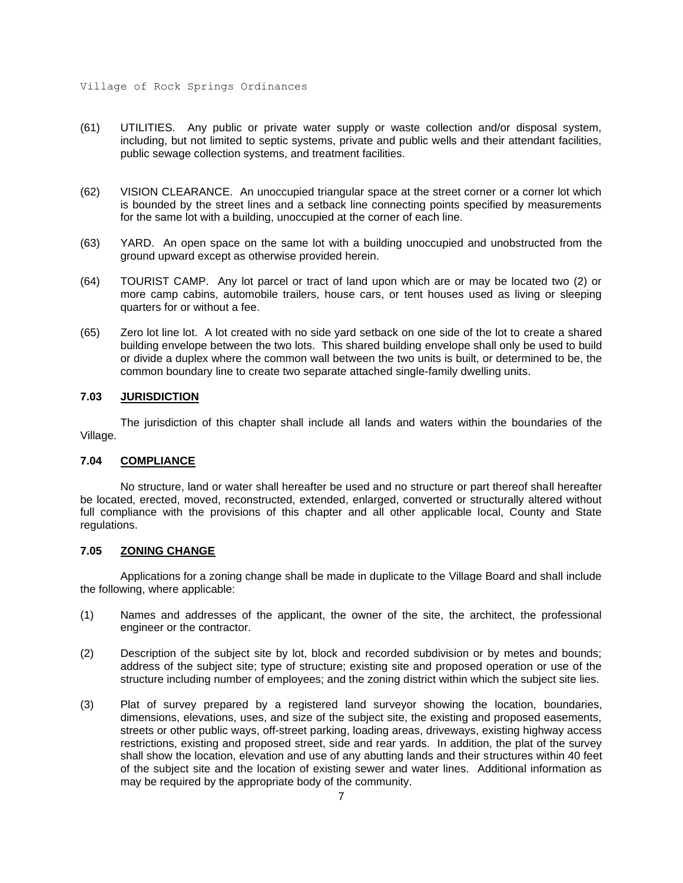- (61) UTILITIES. Any public or private water supply or waste collection and/or disposal system, including, but not limited to septic systems, private and public wells and their attendant facilities, public sewage collection systems, and treatment facilities.
- (62) VISION CLEARANCE. An unoccupied triangular space at the street corner or a corner lot which is bounded by the street lines and a setback line connecting points specified by measurements for the same lot with a building, unoccupied at the corner of each line.
- (63) YARD. An open space on the same lot with a building unoccupied and unobstructed from the ground upward except as otherwise provided herein.
- (64) TOURIST CAMP. Any lot parcel or tract of land upon which are or may be located two (2) or more camp cabins, automobile trailers, house cars, or tent houses used as living or sleeping quarters for or without a fee.
- (65) Zero lot line lot. A lot created with no side yard setback on one side of the lot to create a shared building envelope between the two lots. This shared building envelope shall only be used to build or divide a duplex where the common wall between the two units is built, or determined to be, the common boundary line to create two separate attached single-family dwelling units.

#### **7.03 JURISDICTION**

The jurisdiction of this chapter shall include all lands and waters within the boundaries of the Village.

#### **7.04 COMPLIANCE**

No structure, land or water shall hereafter be used and no structure or part thereof shall hereafter be located, erected, moved, reconstructed, extended, enlarged, converted or structurally altered without full compliance with the provisions of this chapter and all other applicable local, County and State regulations.

#### **7.05 ZONING CHANGE**

Applications for a zoning change shall be made in duplicate to the Village Board and shall include the following, where applicable:

- (1) Names and addresses of the applicant, the owner of the site, the architect, the professional engineer or the contractor.
- (2) Description of the subject site by lot, block and recorded subdivision or by metes and bounds; address of the subject site; type of structure; existing site and proposed operation or use of the structure including number of employees; and the zoning district within which the subject site lies.
- (3) Plat of survey prepared by a registered land surveyor showing the location, boundaries, dimensions, elevations, uses, and size of the subject site, the existing and proposed easements, streets or other public ways, off-street parking, loading areas, driveways, existing highway access restrictions, existing and proposed street, side and rear yards. In addition, the plat of the survey shall show the location, elevation and use of any abutting lands and their structures within 40 feet of the subject site and the location of existing sewer and water lines. Additional information as may be required by the appropriate body of the community.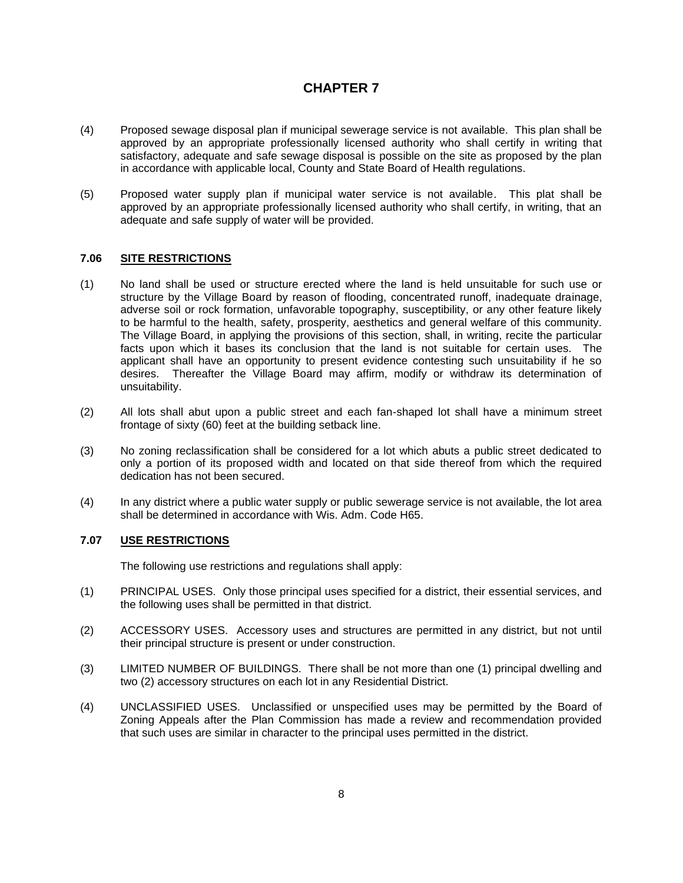- (4) Proposed sewage disposal plan if municipal sewerage service is not available. This plan shall be approved by an appropriate professionally licensed authority who shall certify in writing that satisfactory, adequate and safe sewage disposal is possible on the site as proposed by the plan in accordance with applicable local, County and State Board of Health regulations.
- (5) Proposed water supply plan if municipal water service is not available. This plat shall be approved by an appropriate professionally licensed authority who shall certify, in writing, that an adequate and safe supply of water will be provided.

### **7.06 SITE RESTRICTIONS**

- (1) No land shall be used or structure erected where the land is held unsuitable for such use or structure by the Village Board by reason of flooding, concentrated runoff, inadequate drainage, adverse soil or rock formation, unfavorable topography, susceptibility, or any other feature likely to be harmful to the health, safety, prosperity, aesthetics and general welfare of this community. The Village Board, in applying the provisions of this section, shall, in writing, recite the particular facts upon which it bases its conclusion that the land is not suitable for certain uses. The applicant shall have an opportunity to present evidence contesting such unsuitability if he so desires. Thereafter the Village Board may affirm, modify or withdraw its determination of unsuitability.
- (2) All lots shall abut upon a public street and each fan-shaped lot shall have a minimum street frontage of sixty (60) feet at the building setback line.
- (3) No zoning reclassification shall be considered for a lot which abuts a public street dedicated to only a portion of its proposed width and located on that side thereof from which the required dedication has not been secured.
- (4) In any district where a public water supply or public sewerage service is not available, the lot area shall be determined in accordance with Wis. Adm. Code H65.

### **7.07 USE RESTRICTIONS**

The following use restrictions and regulations shall apply:

- (1) PRINCIPAL USES. Only those principal uses specified for a district, their essential services, and the following uses shall be permitted in that district.
- (2) ACCESSORY USES. Accessory uses and structures are permitted in any district, but not until their principal structure is present or under construction.
- (3) LIMITED NUMBER OF BUILDINGS. There shall be not more than one (1) principal dwelling and two (2) accessory structures on each lot in any Residential District.
- (4) UNCLASSIFIED USES. Unclassified or unspecified uses may be permitted by the Board of Zoning Appeals after the Plan Commission has made a review and recommendation provided that such uses are similar in character to the principal uses permitted in the district.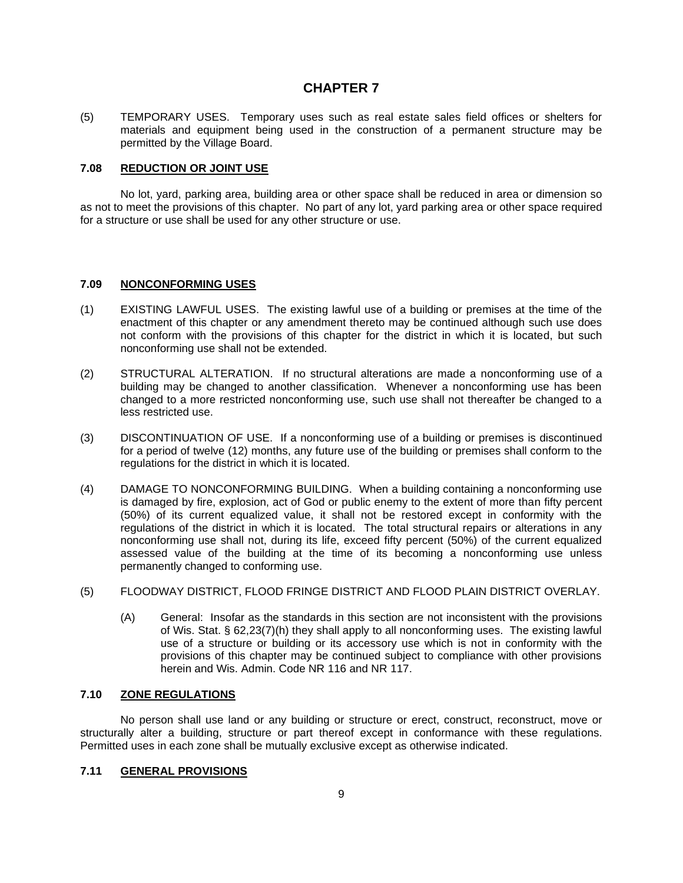(5) TEMPORARY USES. Temporary uses such as real estate sales field offices or shelters for materials and equipment being used in the construction of a permanent structure may be permitted by the Village Board.

#### **7.08 REDUCTION OR JOINT USE**

No lot, yard, parking area, building area or other space shall be reduced in area or dimension so as not to meet the provisions of this chapter. No part of any lot, yard parking area or other space required for a structure or use shall be used for any other structure or use.

#### **7.09 NONCONFORMING USES**

- (1) EXISTING LAWFUL USES. The existing lawful use of a building or premises at the time of the enactment of this chapter or any amendment thereto may be continued although such use does not conform with the provisions of this chapter for the district in which it is located, but such nonconforming use shall not be extended.
- (2) STRUCTURAL ALTERATION. If no structural alterations are made a nonconforming use of a building may be changed to another classification. Whenever a nonconforming use has been changed to a more restricted nonconforming use, such use shall not thereafter be changed to a less restricted use.
- (3) DISCONTINUATION OF USE. If a nonconforming use of a building or premises is discontinued for a period of twelve (12) months, any future use of the building or premises shall conform to the regulations for the district in which it is located.
- (4) DAMAGE TO NONCONFORMING BUILDING. When a building containing a nonconforming use is damaged by fire, explosion, act of God or public enemy to the extent of more than fifty percent (50%) of its current equalized value, it shall not be restored except in conformity with the regulations of the district in which it is located. The total structural repairs or alterations in any nonconforming use shall not, during its life, exceed fifty percent (50%) of the current equalized assessed value of the building at the time of its becoming a nonconforming use unless permanently changed to conforming use.
- (5) FLOODWAY DISTRICT, FLOOD FRINGE DISTRICT AND FLOOD PLAIN DISTRICT OVERLAY.
	- (A) General: Insofar as the standards in this section are not inconsistent with the provisions of Wis. Stat. § 62,23(7)(h) they shall apply to all nonconforming uses. The existing lawful use of a structure or building or its accessory use which is not in conformity with the provisions of this chapter may be continued subject to compliance with other provisions herein and Wis. Admin. Code NR 116 and NR 117.

### **7.10 ZONE REGULATIONS**

No person shall use land or any building or structure or erect, construct, reconstruct, move or structurally alter a building, structure or part thereof except in conformance with these regulations. Permitted uses in each zone shall be mutually exclusive except as otherwise indicated.

### **7.11 GENERAL PROVISIONS**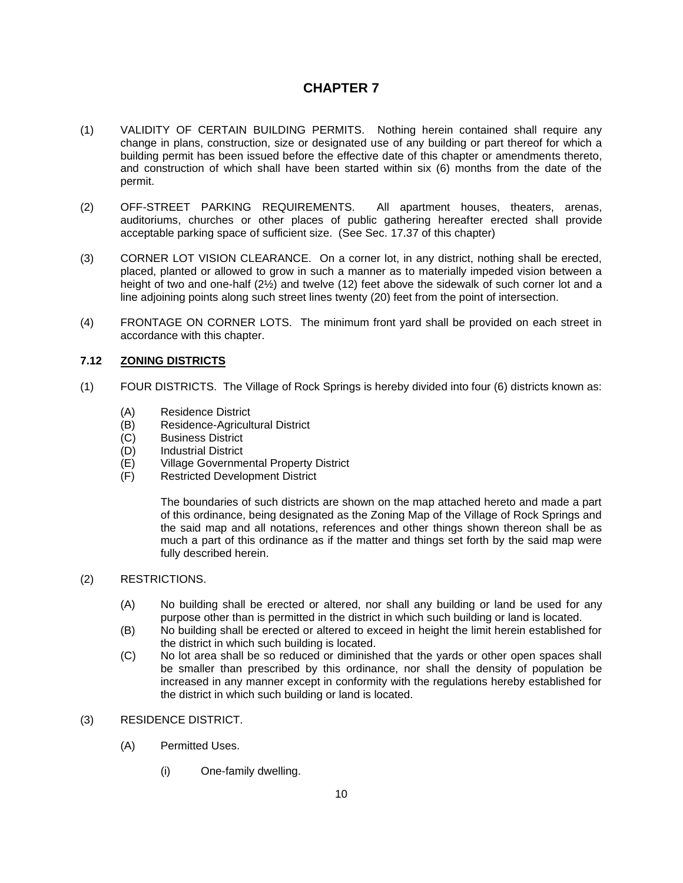- (1) VALIDITY OF CERTAIN BUILDING PERMITS. Nothing herein contained shall require any change in plans, construction, size or designated use of any building or part thereof for which a building permit has been issued before the effective date of this chapter or amendments thereto, and construction of which shall have been started within six (6) months from the date of the permit.
- (2) OFF-STREET PARKING REQUIREMENTS. All apartment houses, theaters, arenas, auditoriums, churches or other places of public gathering hereafter erected shall provide acceptable parking space of sufficient size. (See Sec. 17.37 of this chapter)
- (3) CORNER LOT VISION CLEARANCE. On a corner lot, in any district, nothing shall be erected, placed, planted or allowed to grow in such a manner as to materially impeded vision between a height of two and one-half (2½) and twelve (12) feet above the sidewalk of such corner lot and a line adjoining points along such street lines twenty (20) feet from the point of intersection.
- (4) FRONTAGE ON CORNER LOTS. The minimum front yard shall be provided on each street in accordance with this chapter.

### **7.12 ZONING DISTRICTS**

- (1) FOUR DISTRICTS. The Village of Rock Springs is hereby divided into four (6) districts known as:
	- (A) Residence District
	- (B) Residence-Agricultural District
	- (C) Business District
	- (D) Industrial District
	- (E) Village Governmental Property District
	- (F) Restricted Development District

The boundaries of such districts are shown on the map attached hereto and made a part of this ordinance, being designated as the Zoning Map of the Village of Rock Springs and the said map and all notations, references and other things shown thereon shall be as much a part of this ordinance as if the matter and things set forth by the said map were fully described herein.

### (2) RESTRICTIONS.

- (A) No building shall be erected or altered, nor shall any building or land be used for any purpose other than is permitted in the district in which such building or land is located.
- (B) No building shall be erected or altered to exceed in height the limit herein established for the district in which such building is located.
- (C) No lot area shall be so reduced or diminished that the yards or other open spaces shall be smaller than prescribed by this ordinance, nor shall the density of population be increased in any manner except in conformity with the regulations hereby established for the district in which such building or land is located.
- (3) RESIDENCE DISTRICT.
	- (A) Permitted Uses.
		- (i) One-family dwelling.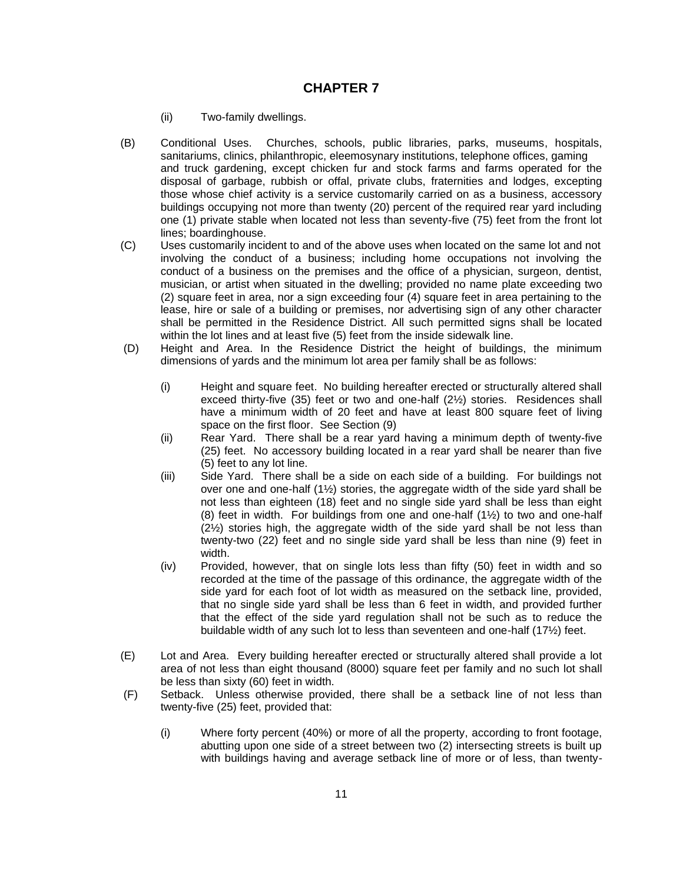- (ii) Two-family dwellings.
- (B) Conditional Uses. Churches, schools, public libraries, parks, museums, hospitals, sanitariums, clinics, philanthropic, eleemosynary institutions, telephone offices, gaming and truck gardening, except chicken fur and stock farms and farms operated for the disposal of garbage, rubbish or offal, private clubs, fraternities and lodges, excepting those whose chief activity is a service customarily carried on as a business, accessory buildings occupying not more than twenty (20) percent of the required rear yard including one (1) private stable when located not less than seventy-five (75) feet from the front lot lines; boardinghouse.
- (C) Uses customarily incident to and of the above uses when located on the same lot and not involving the conduct of a business; including home occupations not involving the conduct of a business on the premises and the office of a physician, surgeon, dentist, musician, or artist when situated in the dwelling; provided no name plate exceeding two (2) square feet in area, nor a sign exceeding four (4) square feet in area pertaining to the lease, hire or sale of a building or premises, nor advertising sign of any other character shall be permitted in the Residence District. All such permitted signs shall be located within the lot lines and at least five (5) feet from the inside sidewalk line.
- (D) Height and Area. In the Residence District the height of buildings, the minimum dimensions of yards and the minimum lot area per family shall be as follows:
	- (i) Height and square feet. No building hereafter erected or structurally altered shall exceed thirty-five (35) feet or two and one-half (2½) stories. Residences shall have a minimum width of 20 feet and have at least 800 square feet of living space on the first floor. See Section (9)
	- (ii) Rear Yard. There shall be a rear yard having a minimum depth of twenty-five (25) feet. No accessory building located in a rear yard shall be nearer than five (5) feet to any lot line.
	- (iii) Side Yard. There shall be a side on each side of a building. For buildings not over one and one-half (1½) stories, the aggregate width of the side yard shall be not less than eighteen (18) feet and no single side yard shall be less than eight (8) feet in width. For buildings from one and one-half  $(1/2)$  to two and one-half (2½) stories high, the aggregate width of the side yard shall be not less than twenty-two (22) feet and no single side yard shall be less than nine (9) feet in width.
	- (iv) Provided, however, that on single lots less than fifty (50) feet in width and so recorded at the time of the passage of this ordinance, the aggregate width of the side yard for each foot of lot width as measured on the setback line, provided, that no single side yard shall be less than 6 feet in width, and provided further that the effect of the side yard regulation shall not be such as to reduce the buildable width of any such lot to less than seventeen and one-half (17½) feet.
- (E) Lot and Area. Every building hereafter erected or structurally altered shall provide a lot area of not less than eight thousand (8000) square feet per family and no such lot shall be less than sixty (60) feet in width.
- (F) Setback. Unless otherwise provided, there shall be a setback line of not less than twenty-five (25) feet, provided that:
	- (i) Where forty percent (40%) or more of all the property, according to front footage, abutting upon one side of a street between two (2) intersecting streets is built up with buildings having and average setback line of more or of less, than twenty-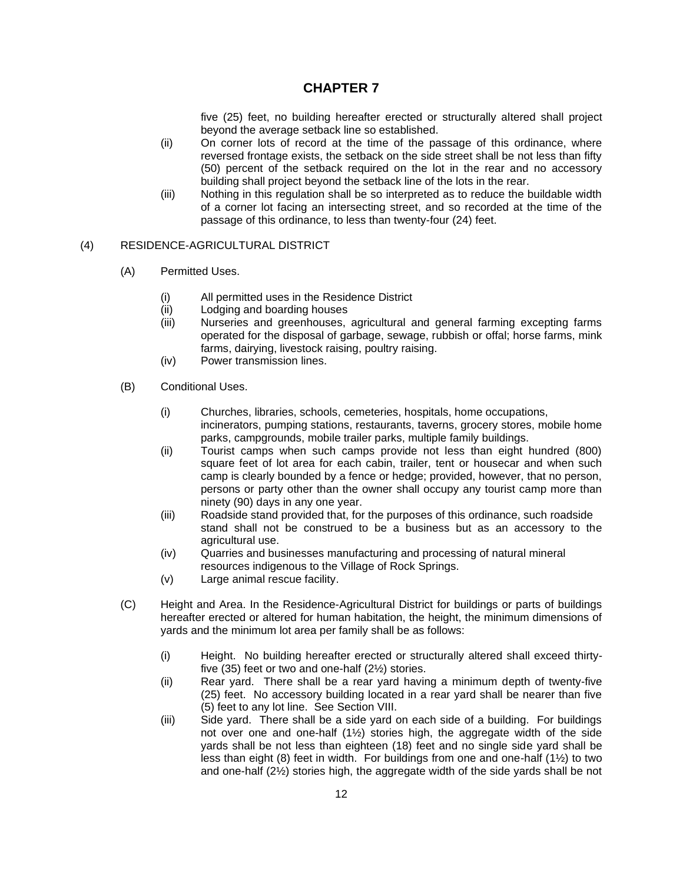five (25) feet, no building hereafter erected or structurally altered shall project beyond the average setback line so established.

- (ii) On corner lots of record at the time of the passage of this ordinance, where reversed frontage exists, the setback on the side street shall be not less than fifty (50) percent of the setback required on the lot in the rear and no accessory building shall project beyond the setback line of the lots in the rear.
- (iii) Nothing in this regulation shall be so interpreted as to reduce the buildable width of a corner lot facing an intersecting street, and so recorded at the time of the passage of this ordinance, to less than twenty-four (24) feet.

### (4) RESIDENCE-AGRICULTURAL DISTRICT

- (A) Permitted Uses.
	- (i) All permitted uses in the Residence District
	- (ii) Lodging and boarding houses
	- (iii) Nurseries and greenhouses, agricultural and general farming excepting farms operated for the disposal of garbage, sewage, rubbish or offal; horse farms, mink farms, dairying, livestock raising, poultry raising.
	- (iv) Power transmission lines.
- (B) Conditional Uses.
	- (i) Churches, libraries, schools, cemeteries, hospitals, home occupations, incinerators, pumping stations, restaurants, taverns, grocery stores, mobile home parks, campgrounds, mobile trailer parks, multiple family buildings.
	- (ii) Tourist camps when such camps provide not less than eight hundred (800) square feet of lot area for each cabin, trailer, tent or housecar and when such camp is clearly bounded by a fence or hedge; provided, however, that no person, persons or party other than the owner shall occupy any tourist camp more than ninety (90) days in any one year.
	- (iii) Roadside stand provided that, for the purposes of this ordinance, such roadside stand shall not be construed to be a business but as an accessory to the agricultural use.
	- (iv) Quarries and businesses manufacturing and processing of natural mineral resources indigenous to the Village of Rock Springs.
	- (v) Large animal rescue facility.
- (C) Height and Area. In the Residence-Agricultural District for buildings or parts of buildings hereafter erected or altered for human habitation, the height, the minimum dimensions of yards and the minimum lot area per family shall be as follows:
	- (i) Height. No building hereafter erected or structurally altered shall exceed thirtyfive (35) feet or two and one-half (2½) stories.
	- (ii) Rear yard. There shall be a rear yard having a minimum depth of twenty-five (25) feet. No accessory building located in a rear yard shall be nearer than five (5) feet to any lot line. See Section VIII.
	- (iii) Side yard. There shall be a side yard on each side of a building. For buildings not over one and one-half (1½) stories high, the aggregate width of the side yards shall be not less than eighteen (18) feet and no single side yard shall be less than eight (8) feet in width. For buildings from one and one-half (1½) to two and one-half (2½) stories high, the aggregate width of the side yards shall be not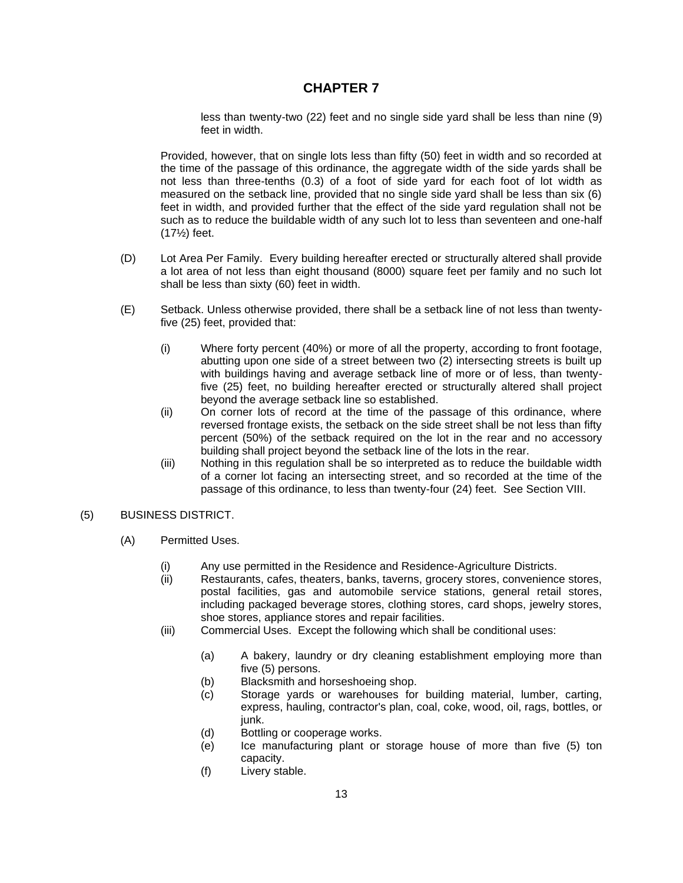less than twenty-two (22) feet and no single side yard shall be less than nine (9) feet in width.

Provided, however, that on single lots less than fifty (50) feet in width and so recorded at the time of the passage of this ordinance, the aggregate width of the side yards shall be not less than three-tenths (0.3) of a foot of side yard for each foot of lot width as measured on the setback line, provided that no single side yard shall be less than six (6) feet in width, and provided further that the effect of the side yard regulation shall not be such as to reduce the buildable width of any such lot to less than seventeen and one-half (17½) feet.

- (D) Lot Area Per Family. Every building hereafter erected or structurally altered shall provide a lot area of not less than eight thousand (8000) square feet per family and no such lot shall be less than sixty (60) feet in width.
- (E) Setback. Unless otherwise provided, there shall be a setback line of not less than twentyfive (25) feet, provided that:
	- (i) Where forty percent (40%) or more of all the property, according to front footage, abutting upon one side of a street between two (2) intersecting streets is built up with buildings having and average setback line of more or of less, than twentyfive (25) feet, no building hereafter erected or structurally altered shall project beyond the average setback line so established.
	- (ii) On corner lots of record at the time of the passage of this ordinance, where reversed frontage exists, the setback on the side street shall be not less than fifty percent (50%) of the setback required on the lot in the rear and no accessory building shall project beyond the setback line of the lots in the rear.
	- (iii) Nothing in this regulation shall be so interpreted as to reduce the buildable width of a corner lot facing an intersecting street, and so recorded at the time of the passage of this ordinance, to less than twenty-four (24) feet. See Section VIII.

### (5) BUSINESS DISTRICT.

- (A) Permitted Uses.
	- (i) Any use permitted in the Residence and Residence-Agriculture Districts.
	- (ii) Restaurants, cafes, theaters, banks, taverns, grocery stores, convenience stores, postal facilities, gas and automobile service stations, general retail stores, including packaged beverage stores, clothing stores, card shops, jewelry stores, shoe stores, appliance stores and repair facilities.
	- (iii) Commercial Uses. Except the following which shall be conditional uses:
		- (a) A bakery, laundry or dry cleaning establishment employing more than five (5) persons.
		- (b) Blacksmith and horseshoeing shop.
		- (c) Storage yards or warehouses for building material, lumber, carting, express, hauling, contractor's plan, coal, coke, wood, oil, rags, bottles, or junk.
		- (d) Bottling or cooperage works.
		- (e) Ice manufacturing plant or storage house of more than five (5) ton capacity.
		- (f) Livery stable.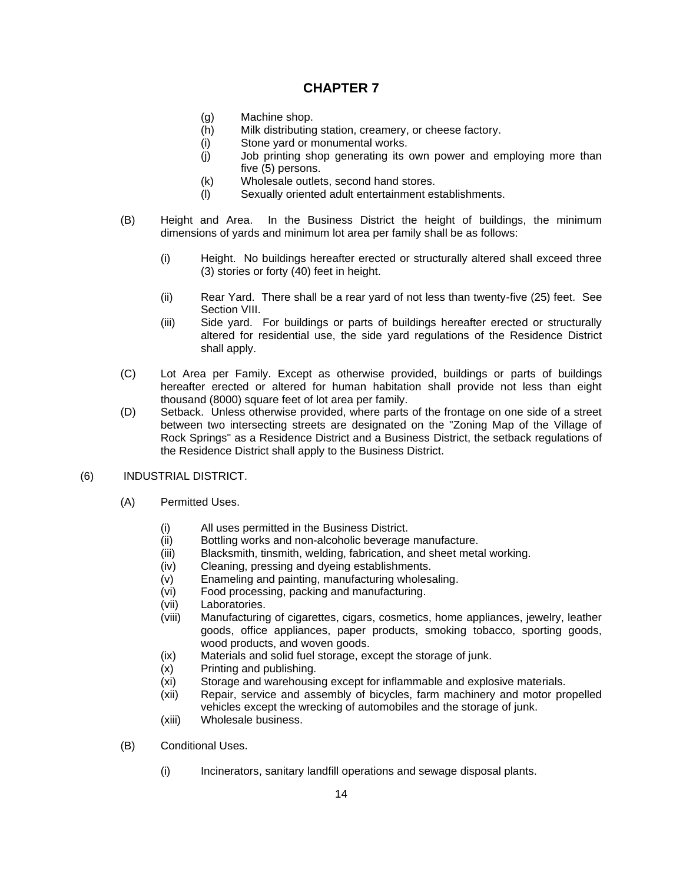- (g) Machine shop.
- (h) Milk distributing station, creamery, or cheese factory.
- (i) Stone yard or monumental works.
- (j) Job printing shop generating its own power and employing more than five (5) persons.
- (k) Wholesale outlets, second hand stores.
- (l) Sexually oriented adult entertainment establishments.
- (B) Height and Area. In the Business District the height of buildings, the minimum dimensions of yards and minimum lot area per family shall be as follows:
	- (i) Height. No buildings hereafter erected or structurally altered shall exceed three (3) stories or forty (40) feet in height.
	- (ii) Rear Yard. There shall be a rear yard of not less than twenty-five (25) feet. See Section VIII.
	- (iii) Side yard. For buildings or parts of buildings hereafter erected or structurally altered for residential use, the side yard regulations of the Residence District shall apply.
- (C) Lot Area per Family. Except as otherwise provided, buildings or parts of buildings hereafter erected or altered for human habitation shall provide not less than eight thousand (8000) square feet of lot area per family.
- (D) Setback. Unless otherwise provided, where parts of the frontage on one side of a street between two intersecting streets are designated on the "Zoning Map of the Village of Rock Springs" as a Residence District and a Business District, the setback regulations of the Residence District shall apply to the Business District.
- (6) INDUSTRIAL DISTRICT.
	- (A) Permitted Uses.
		- (i) All uses permitted in the Business District.
		- (ii) Bottling works and non-alcoholic beverage manufacture.
		- (iii) Blacksmith, tinsmith, welding, fabrication, and sheet metal working.
		- (iv) Cleaning, pressing and dyeing establishments.
		- (v) Enameling and painting, manufacturing wholesaling.
		- (vi) Food processing, packing and manufacturing.
		- (vii) Laboratories.
		- (viii) Manufacturing of cigarettes, cigars, cosmetics, home appliances, jewelry, leather goods, office appliances, paper products, smoking tobacco, sporting goods, wood products, and woven goods.
		- (ix) Materials and solid fuel storage, except the storage of junk.
		- (x) Printing and publishing.
		- (xi) Storage and warehousing except for inflammable and explosive materials.
		- (xii) Repair, service and assembly of bicycles, farm machinery and motor propelled vehicles except the wrecking of automobiles and the storage of junk.
		- (xiii) Wholesale business.
	- (B) Conditional Uses.
		- (i) Incinerators, sanitary landfill operations and sewage disposal plants.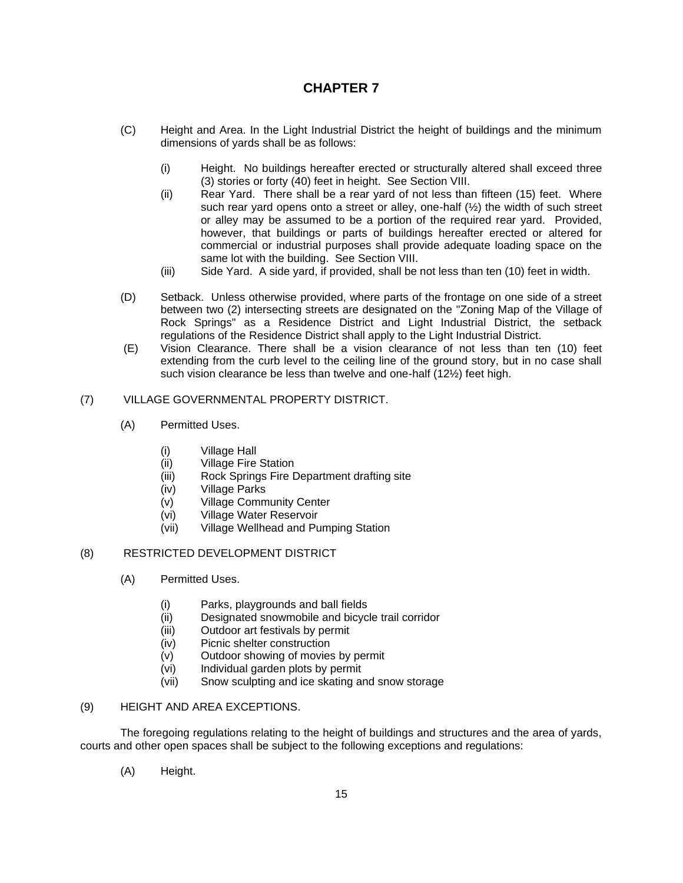- (C) Height and Area. In the Light Industrial District the height of buildings and the minimum dimensions of yards shall be as follows:
	- (i) Height. No buildings hereafter erected or structurally altered shall exceed three (3) stories or forty (40) feet in height. See Section VIII.
	- (ii) Rear Yard. There shall be a rear yard of not less than fifteen (15) feet. Where such rear yard opens onto a street or alley, one-half (½) the width of such street or alley may be assumed to be a portion of the required rear yard. Provided, however, that buildings or parts of buildings hereafter erected or altered for commercial or industrial purposes shall provide adequate loading space on the same lot with the building. See Section VIII.
	- (iii) Side Yard. A side yard, if provided, shall be not less than ten (10) feet in width.
- (D) Setback. Unless otherwise provided, where parts of the frontage on one side of a street between two (2) intersecting streets are designated on the "Zoning Map of the Village of Rock Springs" as a Residence District and Light Industrial District, the setback regulations of the Residence District shall apply to the Light Industrial District.
- (E) Vision Clearance. There shall be a vision clearance of not less than ten (10) feet extending from the curb level to the ceiling line of the ground story, but in no case shall such vision clearance be less than twelve and one-half (12½) feet high.

### (7) VILLAGE GOVERNMENTAL PROPERTY DISTRICT.

- (A) Permitted Uses.
	- (i) Village Hall
	- (ii) Village Fire Station
	- (iii) Rock Springs Fire Department drafting site
	- (iv) Village Parks
	- (v) Village Community Center
	- (vi) Village Water Reservoir
	- (vii) Village Wellhead and Pumping Station

### (8) RESTRICTED DEVELOPMENT DISTRICT

- (A) Permitted Uses.
	- (i) Parks, playgrounds and ball fields
	- (ii) Designated snowmobile and bicycle trail corridor
	- (iii) Outdoor art festivals by permit
	- (iv) Picnic shelter construction
	- (v) Outdoor showing of movies by permit
	- (vi) Individual garden plots by permit
	- (vii) Snow sculpting and ice skating and snow storage

### (9) HEIGHT AND AREA EXCEPTIONS.

The foregoing regulations relating to the height of buildings and structures and the area of yards, courts and other open spaces shall be subject to the following exceptions and regulations:

(A) Height.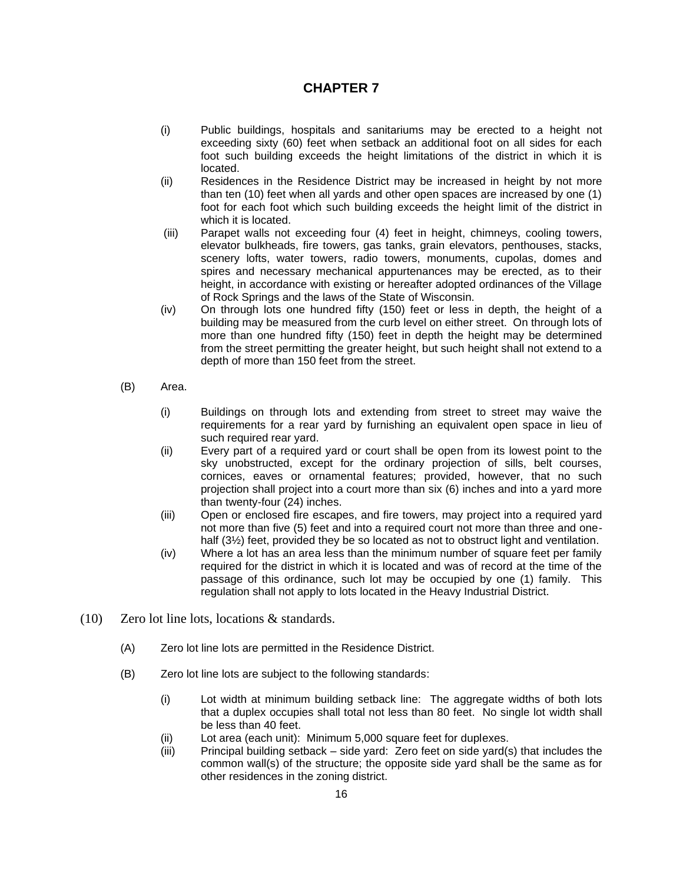- (i) Public buildings, hospitals and sanitariums may be erected to a height not exceeding sixty (60) feet when setback an additional foot on all sides for each foot such building exceeds the height limitations of the district in which it is located.
- (ii) Residences in the Residence District may be increased in height by not more than ten (10) feet when all yards and other open spaces are increased by one (1) foot for each foot which such building exceeds the height limit of the district in which it is located.
- (iii) Parapet walls not exceeding four (4) feet in height, chimneys, cooling towers, elevator bulkheads, fire towers, gas tanks, grain elevators, penthouses, stacks, scenery lofts, water towers, radio towers, monuments, cupolas, domes and spires and necessary mechanical appurtenances may be erected, as to their height, in accordance with existing or hereafter adopted ordinances of the Village of Rock Springs and the laws of the State of Wisconsin.
- (iv) On through lots one hundred fifty (150) feet or less in depth, the height of a building may be measured from the curb level on either street. On through lots of more than one hundred fifty (150) feet in depth the height may be determined from the street permitting the greater height, but such height shall not extend to a depth of more than 150 feet from the street.
- (B) Area.
	- (i) Buildings on through lots and extending from street to street may waive the requirements for a rear yard by furnishing an equivalent open space in lieu of such required rear yard.
	- (ii) Every part of a required yard or court shall be open from its lowest point to the sky unobstructed, except for the ordinary projection of sills, belt courses, cornices, eaves or ornamental features; provided, however, that no such projection shall project into a court more than six (6) inches and into a yard more than twenty-four (24) inches.
	- (iii) Open or enclosed fire escapes, and fire towers, may project into a required yard not more than five (5) feet and into a required court not more than three and onehalf (3<sup>1</sup>/<sub>2</sub>) feet, provided they be so located as not to obstruct light and ventilation.
	- (iv) Where a lot has an area less than the minimum number of square feet per family required for the district in which it is located and was of record at the time of the passage of this ordinance, such lot may be occupied by one (1) family. This regulation shall not apply to lots located in the Heavy Industrial District.
- (10) Zero lot line lots, locations & standards.
	- (A) Zero lot line lots are permitted in the Residence District.
	- (B) Zero lot line lots are subject to the following standards:
		- (i) Lot width at minimum building setback line: The aggregate widths of both lots that a duplex occupies shall total not less than 80 feet. No single lot width shall be less than 40 feet.
		- (ii) Lot area (each unit): Minimum 5,000 square feet for duplexes.
		- (iii) Principal building setback side yard: Zero feet on side yard(s) that includes the common wall(s) of the structure; the opposite side yard shall be the same as for other residences in the zoning district.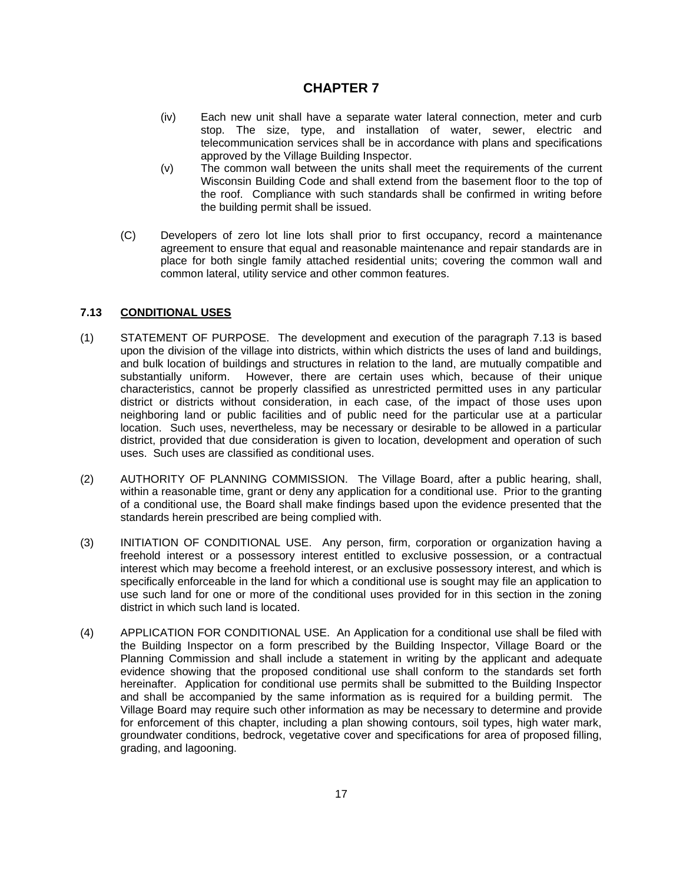- (iv) Each new unit shall have a separate water lateral connection, meter and curb stop. The size, type, and installation of water, sewer, electric and telecommunication services shall be in accordance with plans and specifications approved by the Village Building Inspector.
- (v) The common wall between the units shall meet the requirements of the current Wisconsin Building Code and shall extend from the basement floor to the top of the roof. Compliance with such standards shall be confirmed in writing before the building permit shall be issued.
- (C) Developers of zero lot line lots shall prior to first occupancy, record a maintenance agreement to ensure that equal and reasonable maintenance and repair standards are in place for both single family attached residential units; covering the common wall and common lateral, utility service and other common features.

### **7.13 CONDITIONAL USES**

- (1) STATEMENT OF PURPOSE. The development and execution of the paragraph 7.13 is based upon the division of the village into districts, within which districts the uses of land and buildings, and bulk location of buildings and structures in relation to the land, are mutually compatible and substantially uniform. However, there are certain uses which, because of their unique characteristics, cannot be properly classified as unrestricted permitted uses in any particular district or districts without consideration, in each case, of the impact of those uses upon neighboring land or public facilities and of public need for the particular use at a particular location. Such uses, nevertheless, may be necessary or desirable to be allowed in a particular district, provided that due consideration is given to location, development and operation of such uses. Such uses are classified as conditional uses.
- (2) AUTHORITY OF PLANNING COMMISSION. The Village Board, after a public hearing, shall, within a reasonable time, grant or deny any application for a conditional use. Prior to the granting of a conditional use, the Board shall make findings based upon the evidence presented that the standards herein prescribed are being complied with.
- (3) INITIATION OF CONDITIONAL USE. Any person, firm, corporation or organization having a freehold interest or a possessory interest entitled to exclusive possession, or a contractual interest which may become a freehold interest, or an exclusive possessory interest, and which is specifically enforceable in the land for which a conditional use is sought may file an application to use such land for one or more of the conditional uses provided for in this section in the zoning district in which such land is located.
- (4) APPLICATION FOR CONDITIONAL USE. An Application for a conditional use shall be filed with the Building Inspector on a form prescribed by the Building Inspector, Village Board or the Planning Commission and shall include a statement in writing by the applicant and adequate evidence showing that the proposed conditional use shall conform to the standards set forth hereinafter. Application for conditional use permits shall be submitted to the Building Inspector and shall be accompanied by the same information as is required for a building permit. The Village Board may require such other information as may be necessary to determine and provide for enforcement of this chapter, including a plan showing contours, soil types, high water mark, groundwater conditions, bedrock, vegetative cover and specifications for area of proposed filling, grading, and lagooning.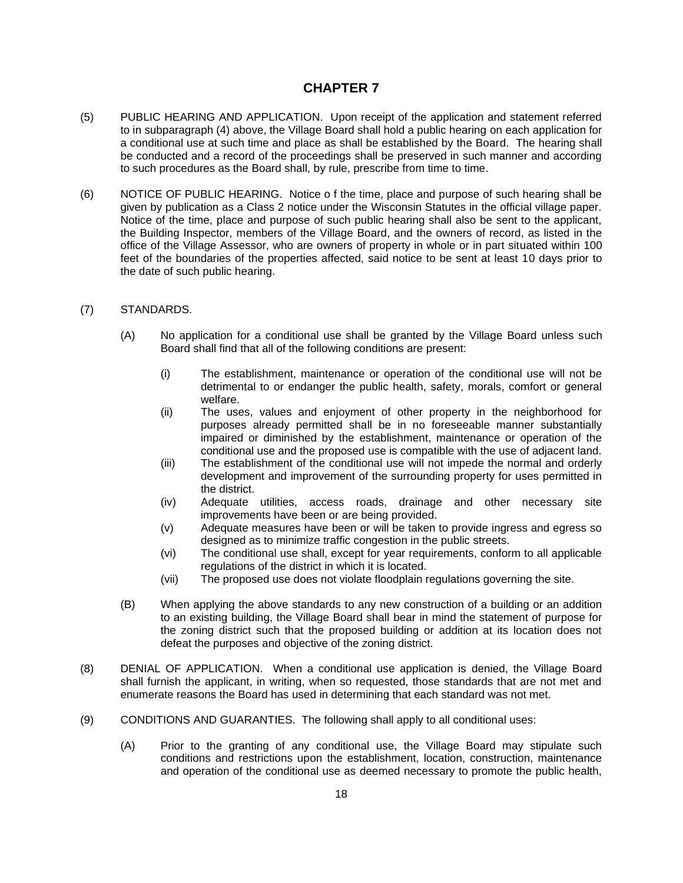- (5) PUBLIC HEARING AND APPLICATION. Upon receipt of the application and statement referred to in subparagraph (4) above, the Village Board shall hold a public hearing on each application for a conditional use at such time and place as shall be established by the Board. The hearing shall be conducted and a record of the proceedings shall be preserved in such manner and according to such procedures as the Board shall, by rule, prescribe from time to time.
- (6) NOTICE OF PUBLIC HEARING. Notice o f the time, place and purpose of such hearing shall be given by publication as a Class 2 notice under the Wisconsin Statutes in the official village paper. Notice of the time, place and purpose of such public hearing shall also be sent to the applicant, the Building Inspector, members of the Village Board, and the owners of record, as listed in the office of the Village Assessor, who are owners of property in whole or in part situated within 100 feet of the boundaries of the properties affected, said notice to be sent at least 10 days prior to the date of such public hearing.
- (7) STANDARDS.
	- (A) No application for a conditional use shall be granted by the Village Board unless such Board shall find that all of the following conditions are present:
		- (i) The establishment, maintenance or operation of the conditional use will not be detrimental to or endanger the public health, safety, morals, comfort or general welfare.
		- (ii) The uses, values and enjoyment of other property in the neighborhood for purposes already permitted shall be in no foreseeable manner substantially impaired or diminished by the establishment, maintenance or operation of the conditional use and the proposed use is compatible with the use of adjacent land.
		- (iii) The establishment of the conditional use will not impede the normal and orderly development and improvement of the surrounding property for uses permitted in the district.
		- (iv) Adequate utilities, access roads, drainage and other necessary site improvements have been or are being provided.
		- (v) Adequate measures have been or will be taken to provide ingress and egress so designed as to minimize traffic congestion in the public streets.
		- (vi) The conditional use shall, except for year requirements, conform to all applicable regulations of the district in which it is located.
		- (vii) The proposed use does not violate floodplain regulations governing the site.
	- (B) When applying the above standards to any new construction of a building or an addition to an existing building, the Village Board shall bear in mind the statement of purpose for the zoning district such that the proposed building or addition at its location does not defeat the purposes and objective of the zoning district.
- (8) DENIAL OF APPLICATION. When a conditional use application is denied, the Village Board shall furnish the applicant, in writing, when so requested, those standards that are not met and enumerate reasons the Board has used in determining that each standard was not met.
- (9) CONDITIONS AND GUARANTIES. The following shall apply to all conditional uses:
	- (A) Prior to the granting of any conditional use, the Village Board may stipulate such conditions and restrictions upon the establishment, location, construction, maintenance and operation of the conditional use as deemed necessary to promote the public health,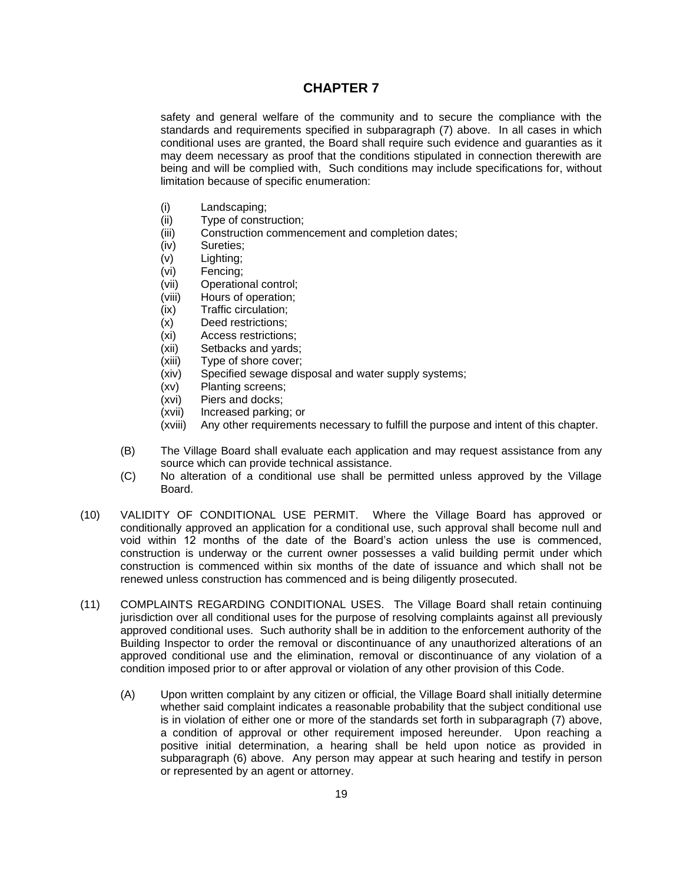safety and general welfare of the community and to secure the compliance with the standards and requirements specified in subparagraph (7) above. In all cases in which conditional uses are granted, the Board shall require such evidence and guaranties as it may deem necessary as proof that the conditions stipulated in connection therewith are being and will be complied with, Such conditions may include specifications for, without limitation because of specific enumeration:

- (i) Landscaping;
- (ii) Type of construction;
- (iii) Construction commencement and completion dates;
- (iv) Sureties;
- (v) Lighting;
- (vi) Fencing;
- (vii) Operational control;
- (viii) Hours of operation;
- (ix) Traffic circulation;
- (x) Deed restrictions;
- (xi) Access restrictions;
- (xii) Setbacks and yards;
- (xiii) Type of shore cover;
- (xiv) Specified sewage disposal and water supply systems;
- (xv) Planting screens;
- (xvi) Piers and docks;
- (xvii) Increased parking; or
- (xviii) Any other requirements necessary to fulfill the purpose and intent of this chapter.
- (B) The Village Board shall evaluate each application and may request assistance from any source which can provide technical assistance.
- (C) No alteration of a conditional use shall be permitted unless approved by the Village Board.
- (10) VALIDITY OF CONDITIONAL USE PERMIT. Where the Village Board has approved or conditionally approved an application for a conditional use, such approval shall become null and void within 12 months of the date of the Board's action unless the use is commenced, construction is underway or the current owner possesses a valid building permit under which construction is commenced within six months of the date of issuance and which shall not be renewed unless construction has commenced and is being diligently prosecuted.
- (11) COMPLAINTS REGARDING CONDITIONAL USES. The Village Board shall retain continuing jurisdiction over all conditional uses for the purpose of resolving complaints against all previously approved conditional uses. Such authority shall be in addition to the enforcement authority of the Building Inspector to order the removal or discontinuance of any unauthorized alterations of an approved conditional use and the elimination, removal or discontinuance of any violation of a condition imposed prior to or after approval or violation of any other provision of this Code.
	- (A) Upon written complaint by any citizen or official, the Village Board shall initially determine whether said complaint indicates a reasonable probability that the subject conditional use is in violation of either one or more of the standards set forth in subparagraph (7) above, a condition of approval or other requirement imposed hereunder. Upon reaching a positive initial determination, a hearing shall be held upon notice as provided in subparagraph (6) above. Any person may appear at such hearing and testify in person or represented by an agent or attorney.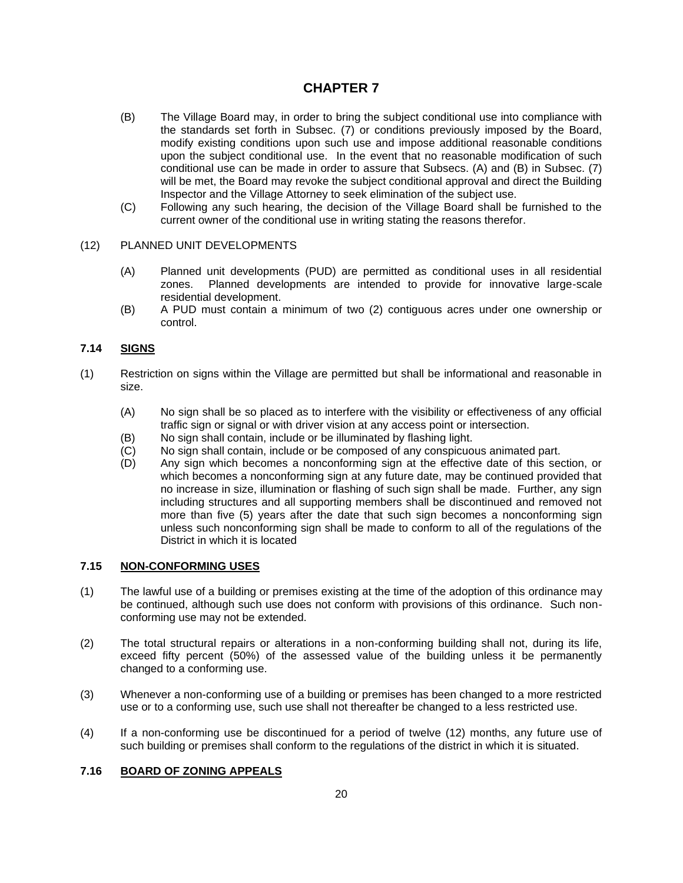- (B) The Village Board may, in order to bring the subject conditional use into compliance with the standards set forth in Subsec. (7) or conditions previously imposed by the Board, modify existing conditions upon such use and impose additional reasonable conditions upon the subject conditional use. In the event that no reasonable modification of such conditional use can be made in order to assure that Subsecs. (A) and (B) in Subsec. (7) will be met, the Board may revoke the subject conditional approval and direct the Building Inspector and the Village Attorney to seek elimination of the subject use.
- (C) Following any such hearing, the decision of the Village Board shall be furnished to the current owner of the conditional use in writing stating the reasons therefor.

### (12) PLANNED UNIT DEVELOPMENTS

- (A) Planned unit developments (PUD) are permitted as conditional uses in all residential zones. Planned developments are intended to provide for innovative large-scale residential development.
- (B) A PUD must contain a minimum of two (2) contiguous acres under one ownership or control.

### **7.14 SIGNS**

- (1) Restriction on signs within the Village are permitted but shall be informational and reasonable in size.
	- (A) No sign shall be so placed as to interfere with the visibility or effectiveness of any official traffic sign or signal or with driver vision at any access point or intersection.
	- (B) No sign shall contain, include or be illuminated by flashing light.
	- (C) No sign shall contain, include or be composed of any conspicuous animated part.<br>(D) Any sign which becomes a nonconforming sign at the effective date of this sed
	- Any sign which becomes a nonconforming sign at the effective date of this section, or which becomes a nonconforming sign at any future date, may be continued provided that no increase in size, illumination or flashing of such sign shall be made. Further, any sign including structures and all supporting members shall be discontinued and removed not more than five (5) years after the date that such sign becomes a nonconforming sign unless such nonconforming sign shall be made to conform to all of the regulations of the District in which it is located

#### **7.15 NON-CONFORMING USES**

- (1) The lawful use of a building or premises existing at the time of the adoption of this ordinance may be continued, although such use does not conform with provisions of this ordinance. Such nonconforming use may not be extended.
- (2) The total structural repairs or alterations in a non-conforming building shall not, during its life, exceed fifty percent (50%) of the assessed value of the building unless it be permanently changed to a conforming use.
- (3) Whenever a non-conforming use of a building or premises has been changed to a more restricted use or to a conforming use, such use shall not thereafter be changed to a less restricted use.
- (4) If a non-conforming use be discontinued for a period of twelve (12) months, any future use of such building or premises shall conform to the regulations of the district in which it is situated.

#### **7.16 BOARD OF ZONING APPEALS**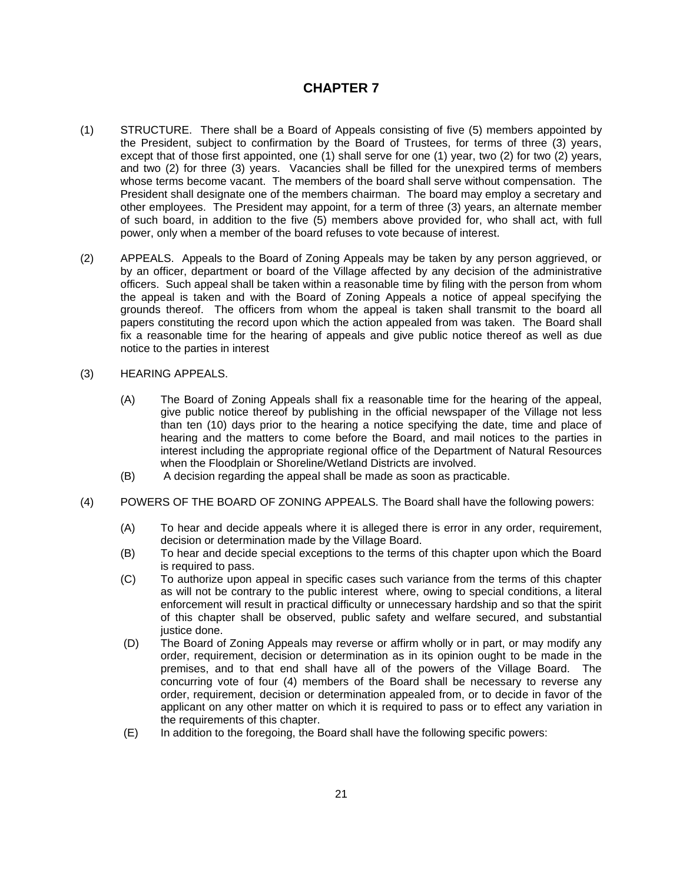- (1) STRUCTURE. There shall be a Board of Appeals consisting of five (5) members appointed by the President, subject to confirmation by the Board of Trustees, for terms of three (3) years, except that of those first appointed, one (1) shall serve for one (1) year, two (2) for two (2) years, and two (2) for three (3) years. Vacancies shall be filled for the unexpired terms of members whose terms become vacant. The members of the board shall serve without compensation. The President shall designate one of the members chairman. The board may employ a secretary and other employees. The President may appoint, for a term of three (3) years, an alternate member of such board, in addition to the five (5) members above provided for, who shall act, with full power, only when a member of the board refuses to vote because of interest.
- (2) APPEALS. Appeals to the Board of Zoning Appeals may be taken by any person aggrieved, or by an officer, department or board of the Village affected by any decision of the administrative officers. Such appeal shall be taken within a reasonable time by filing with the person from whom the appeal is taken and with the Board of Zoning Appeals a notice of appeal specifying the grounds thereof. The officers from whom the appeal is taken shall transmit to the board all papers constituting the record upon which the action appealed from was taken. The Board shall fix a reasonable time for the hearing of appeals and give public notice thereof as well as due notice to the parties in interest
- (3) HEARING APPEALS.
	- (A) The Board of Zoning Appeals shall fix a reasonable time for the hearing of the appeal, give public notice thereof by publishing in the official newspaper of the Village not less than ten (10) days prior to the hearing a notice specifying the date, time and place of hearing and the matters to come before the Board, and mail notices to the parties in interest including the appropriate regional office of the Department of Natural Resources when the Floodplain or Shoreline/Wetland Districts are involved.
	- (B) A decision regarding the appeal shall be made as soon as practicable.
- (4) POWERS OF THE BOARD OF ZONING APPEALS. The Board shall have the following powers:
	- (A) To hear and decide appeals where it is alleged there is error in any order, requirement, decision or determination made by the Village Board.
	- (B) To hear and decide special exceptions to the terms of this chapter upon which the Board is required to pass.
	- (C) To authorize upon appeal in specific cases such variance from the terms of this chapter as will not be contrary to the public interest where, owing to special conditions, a literal enforcement will result in practical difficulty or unnecessary hardship and so that the spirit of this chapter shall be observed, public safety and welfare secured, and substantial justice done.
	- (D) The Board of Zoning Appeals may reverse or affirm wholly or in part, or may modify any order, requirement, decision or determination as in its opinion ought to be made in the premises, and to that end shall have all of the powers of the Village Board. The concurring vote of four (4) members of the Board shall be necessary to reverse any order, requirement, decision or determination appealed from, or to decide in favor of the applicant on any other matter on which it is required to pass or to effect any variation in the requirements of this chapter.
	- (E) In addition to the foregoing, the Board shall have the following specific powers: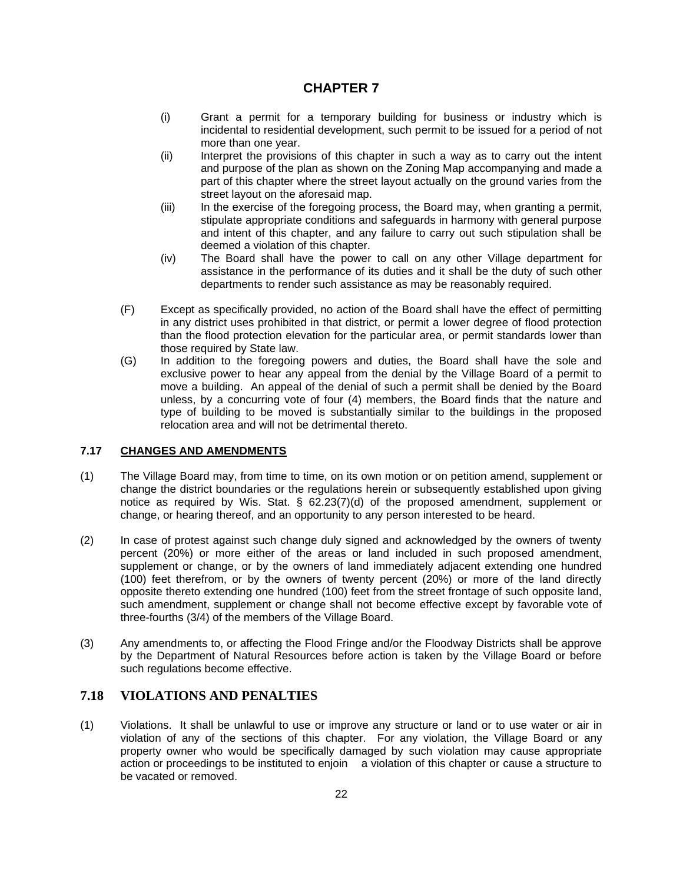- (i) Grant a permit for a temporary building for business or industry which is incidental to residential development, such permit to be issued for a period of not more than one year.
- (ii) Interpret the provisions of this chapter in such a way as to carry out the intent and purpose of the plan as shown on the Zoning Map accompanying and made a part of this chapter where the street layout actually on the ground varies from the street layout on the aforesaid map.
- (iii) In the exercise of the foregoing process, the Board may, when granting a permit, stipulate appropriate conditions and safeguards in harmony with general purpose and intent of this chapter, and any failure to carry out such stipulation shall be deemed a violation of this chapter.
- (iv) The Board shall have the power to call on any other Village department for assistance in the performance of its duties and it shall be the duty of such other departments to render such assistance as may be reasonably required.
- (F) Except as specifically provided, no action of the Board shall have the effect of permitting in any district uses prohibited in that district, or permit a lower degree of flood protection than the flood protection elevation for the particular area, or permit standards lower than those required by State law.
- (G) In addition to the foregoing powers and duties, the Board shall have the sole and exclusive power to hear any appeal from the denial by the Village Board of a permit to move a building. An appeal of the denial of such a permit shall be denied by the Board unless, by a concurring vote of four (4) members, the Board finds that the nature and type of building to be moved is substantially similar to the buildings in the proposed relocation area and will not be detrimental thereto.

### **7.17 CHANGES AND AMENDMENTS**

- (1) The Village Board may, from time to time, on its own motion or on petition amend, supplement or change the district boundaries or the regulations herein or subsequently established upon giving notice as required by Wis. Stat. § 62.23(7)(d) of the proposed amendment, supplement or change, or hearing thereof, and an opportunity to any person interested to be heard.
- (2) In case of protest against such change duly signed and acknowledged by the owners of twenty percent (20%) or more either of the areas or land included in such proposed amendment, supplement or change, or by the owners of land immediately adjacent extending one hundred (100) feet therefrom, or by the owners of twenty percent (20%) or more of the land directly opposite thereto extending one hundred (100) feet from the street frontage of such opposite land, such amendment, supplement or change shall not become effective except by favorable vote of three-fourths (3/4) of the members of the Village Board.
- (3) Any amendments to, or affecting the Flood Fringe and/or the Floodway Districts shall be approve by the Department of Natural Resources before action is taken by the Village Board or before such regulations become effective.

## **7.18 VIOLATIONS AND PENALTIES**

(1) Violations. It shall be unlawful to use or improve any structure or land or to use water or air in violation of any of the sections of this chapter. For any violation, the Village Board or any property owner who would be specifically damaged by such violation may cause appropriate action or proceedings to be instituted to enjoin a violation of this chapter or cause a structure to be vacated or removed.